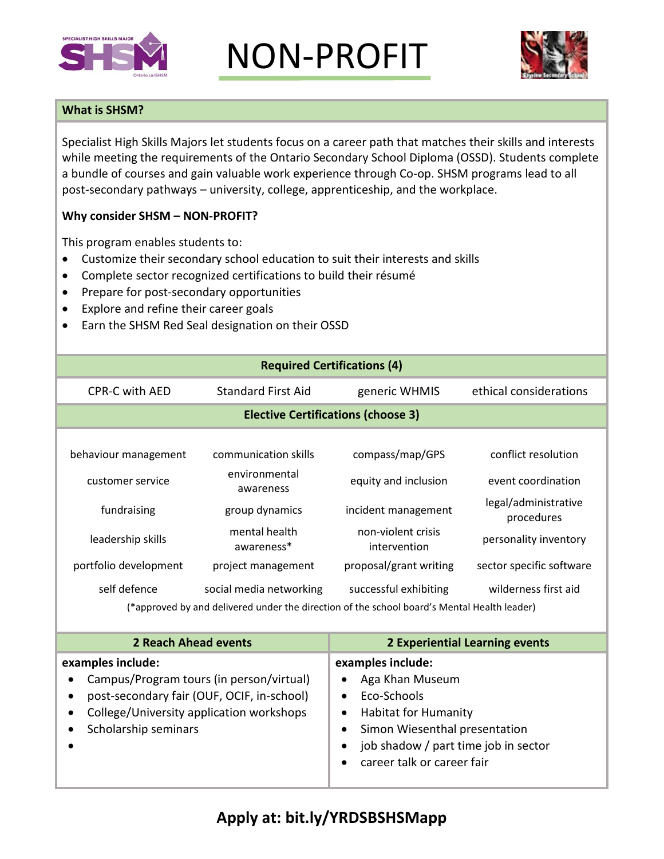

NON-PROFIT



## **What is SHSM?**

Specialist High Skills Majors let students focus on a career path that matches their skills and interests while meeting the requirements of the Ontario Secondary School Diploma (OSSD). Students complete a bundle of courses and gain valuable work experience through Co-op. SHSM programs lead to all post-secondary pathways – university, college, apprenticeship, and the workplace.

## **Why consider SHSM – NON-PROFIT?**

This program enables students to:

- Customize their secondary school education to suit their interests and skills
- Complete sector recognized certifications to build their résumé
- Prepare for post-secondary opportunities
- Explore and refine their career goals
- Earn the SHSM Red Seal designation on their OSSD

| <b>Required Certifications (4)</b>                                                                                                                                              |                                                                                                                                                                                                                                                     |                                                                                                                                                                                                        |                                                                                                                                                              |  |
|---------------------------------------------------------------------------------------------------------------------------------------------------------------------------------|-----------------------------------------------------------------------------------------------------------------------------------------------------------------------------------------------------------------------------------------------------|--------------------------------------------------------------------------------------------------------------------------------------------------------------------------------------------------------|--------------------------------------------------------------------------------------------------------------------------------------------------------------|--|
| <b>CPR-C with AED</b>                                                                                                                                                           | <b>Standard First Aid</b>                                                                                                                                                                                                                           | generic WHMIS                                                                                                                                                                                          | ethical considerations                                                                                                                                       |  |
| <b>Elective Certifications (choose 3)</b>                                                                                                                                       |                                                                                                                                                                                                                                                     |                                                                                                                                                                                                        |                                                                                                                                                              |  |
| behaviour management<br>customer service<br>fundraising<br>leadership skills<br>portfolio development<br>self defence                                                           | communication skills<br>environmental<br>awareness<br>group dynamics<br>mental health<br>awareness*<br>project management<br>social media networking<br>(*approved by and delivered under the direction of the school board's Mental Health leader) | compass/map/GPS<br>equity and inclusion<br>incident management<br>non-violent crisis<br>intervention<br>proposal/grant writing<br>successful exhibiting                                                | conflict resolution<br>event coordination<br>legal/administrative<br>procedures<br>personality inventory<br>sector specific software<br>wilderness first aid |  |
| <b>2 Reach Ahead events</b>                                                                                                                                                     |                                                                                                                                                                                                                                                     |                                                                                                                                                                                                        | <b>2 Experiential Learning events</b>                                                                                                                        |  |
| examples include:<br>Campus/Program tours (in person/virtual)<br>post-secondary fair (OUF, OCIF, in-school)<br>College/University application workshops<br>Scholarship seminars |                                                                                                                                                                                                                                                     | examples include:<br>Aga Khan Museum<br>Eco-Schools<br>$\bullet$<br><b>Habitat for Humanity</b><br>Simon Wiesenthal presentation<br>job shadow / part time job in sector<br>career talk or career fair |                                                                                                                                                              |  |

## **Apply at: bit.ly/YRDSBSHSMapp**